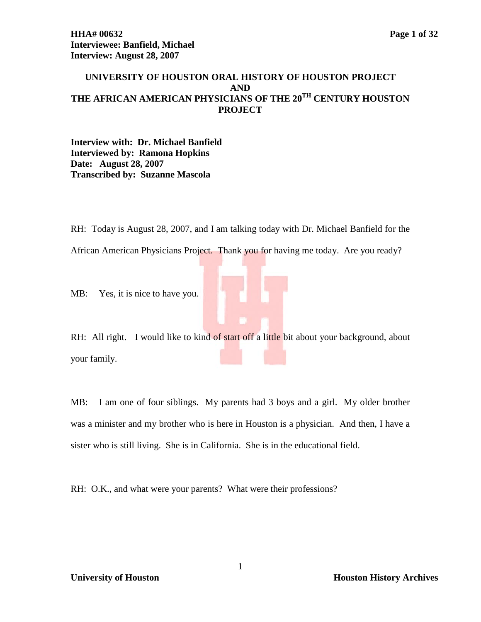## **UNIVERSITY OF HOUSTON ORAL HISTORY OF HOUSTON PROJECT AND THE AFRICAN AMERICAN PHYSICIANS OF THE 20TH CENTURY HOUSTON PROJECT**

**Interview with: Dr. Michael Banfield Interviewed by: Ramona Hopkins Date: August 28, 2007 Transcribed by: Suzanne Mascola**

RH: Today is August 28, 2007, and I am talking today with Dr. Michael Banfield for the

African American Physicians Project. Thank you for having me today. Are you ready?

MB: Yes, it is nice to have you.

RH: All right. I would like to kind of start off a little bit about your background, about your family.

MB: I am one of four siblings. My parents had 3 boys and a girl. My older brother was a minister and my brother who is here in Houston is a physician. And then, I have a sister who is still living. She is in California. She is in the educational field.

RH: O.K., and what were your parents? What were their professions?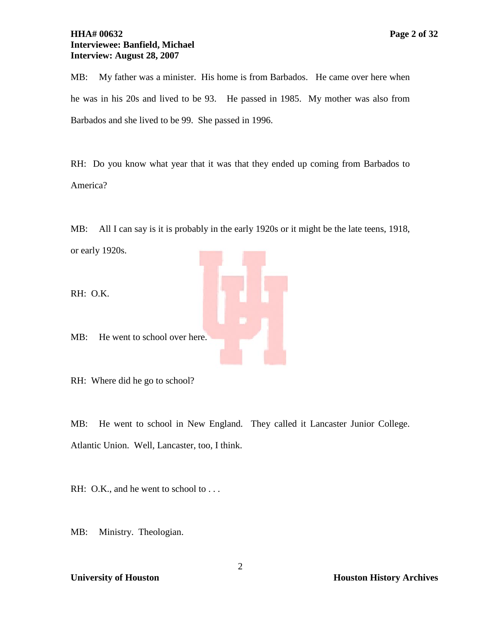## **HHA# 00632 Page 2 of 32 Interviewee: Banfield, Michael Interview: August 28, 2007**

MB: My father was a minister. His home is from Barbados. He came over here when he was in his 20s and lived to be 93. He passed in 1985. My mother was also from Barbados and she lived to be 99. She passed in 1996.

RH: Do you know what year that it was that they ended up coming from Barbados to America?

MB: All I can say is it is probably in the early 1920s or it might be the late teens, 1918, or early 1920s.

RH: O.K.

MB: He went to school over here.

RH: Where did he go to school?

MB: He went to school in New England. They called it Lancaster Junior College. Atlantic Union. Well, Lancaster, too, I think.

RH: O.K., and he went to school to . . .

MB: Ministry. Theologian.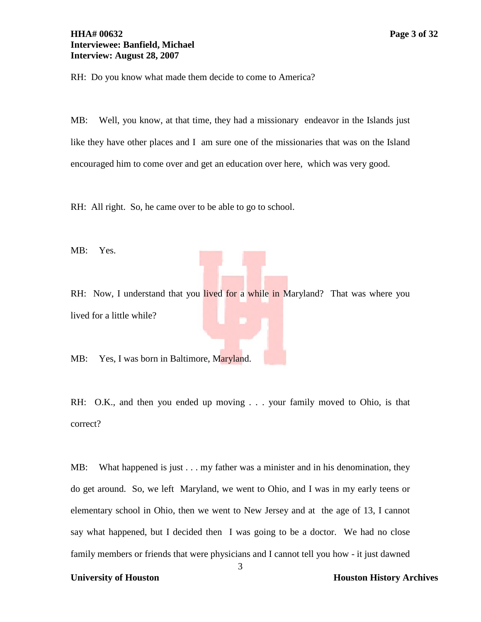RH: Do you know what made them decide to come to America?

MB: Well, you know, at that time, they had a missionary endeavor in the Islands just like they have other places and I am sure one of the missionaries that was on the Island encouraged him to come over and get an education over here, which was very good.

RH: All right. So, he came over to be able to go to school.

MB: Yes.

RH: Now, I understand that you lived for a while in Maryland? That was where you lived for a little while?

MB: Yes, I was born in Baltimore, Maryland.

RH: O.K., and then you ended up moving . . . your family moved to Ohio, is that correct?

MB: What happened is just . . . my father was a minister and in his denomination, they do get around. So, we left Maryland, we went to Ohio, and I was in my early teens or elementary school in Ohio, then we went to New Jersey and at the age of 13, I cannot say what happened, but I decided then I was going to be a doctor. We had no close family members or friends that were physicians and I cannot tell you how - it just dawned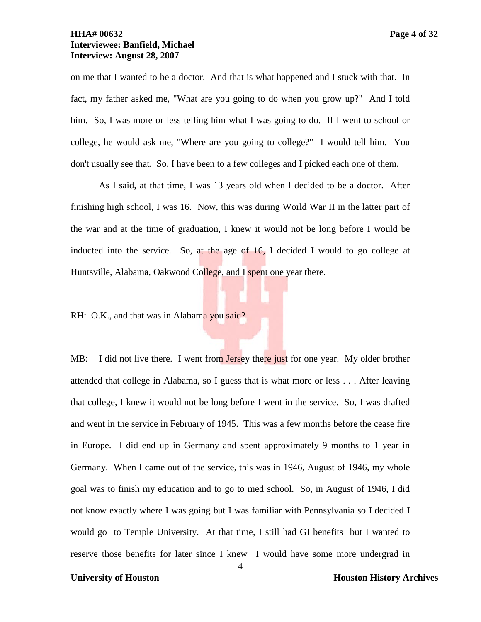on me that I wanted to be a doctor. And that is what happened and I stuck with that. In fact, my father asked me, "What are you going to do when you grow up?" And I told him. So, I was more or less telling him what I was going to do. If I went to school or college, he would ask me, "Where are you going to college?" I would tell him. You don't usually see that. So, I have been to a few colleges and I picked each one of them.

As I said, at that time, I was 13 years old when I decided to be a doctor. After finishing high school, I was 16. Now, this was during World War II in the latter part of the war and at the time of graduation, I knew it would not be long before I would be inducted into the service. So, at the age of 16, I decided I would to go college at Huntsville, Alabama, Oakwood College, and I spent one year there.

RH: O.K., and that was in Alabama you said?

MB: I did not live there. I went from Jersey there just for one year. My older brother attended that college in Alabama, so I guess that is what more or less . . . After leaving that college, I knew it would not be long before I went in the service. So, I was drafted and went in the service in February of 1945. This was a few months before the cease fire in Europe. I did end up in Germany and spent approximately 9 months to 1 year in Germany. When I came out of the service, this was in 1946, August of 1946, my whole goal was to finish my education and to go to med school. So, in August of 1946, I did not know exactly where I was going but I was familiar with Pennsylvania so I decided I would go to Temple University. At that time, I still had GI benefits but I wanted to reserve those benefits for later since I knew I would have some more undergrad in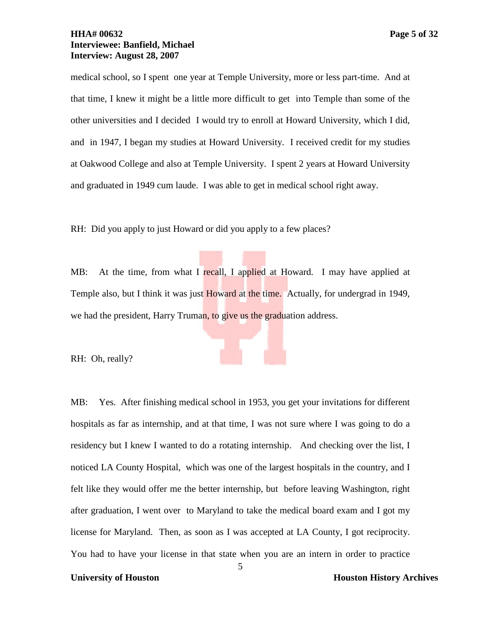### **HHA# 00632 Page 5 of 32 Interviewee: Banfield, Michael Interview: August 28, 2007**

medical school, so I spent one year at Temple University, more or less part-time. And at that time, I knew it might be a little more difficult to get into Temple than some of the other universities and I decided I would try to enroll at Howard University, which I did, and in 1947, I began my studies at Howard University. I received credit for my studies at Oakwood College and also at Temple University. I spent 2 years at Howard University and graduated in 1949 cum laude. I was able to get in medical school right away.

RH: Did you apply to just Howard or did you apply to a few places?

MB: At the time, from what I recall, I applied at Howard. I may have applied at Temple also, but I think it was just Howard at the time. Actually, for undergrad in 1949, we had the president, Harry Truman, to give us the graduation address.

RH: Oh, really?

MB: Yes. After finishing medical school in 1953, you get your invitations for different hospitals as far as internship, and at that time, I was not sure where I was going to do a residency but I knew I wanted to do a rotating internship. And checking over the list, I noticed LA County Hospital, which was one of the largest hospitals in the country, and I felt like they would offer me the better internship, but before leaving Washington, right after graduation, I went over to Maryland to take the medical board exam and I got my license for Maryland. Then, as soon as I was accepted at LA County, I got reciprocity. You had to have your license in that state when you are an intern in order to practice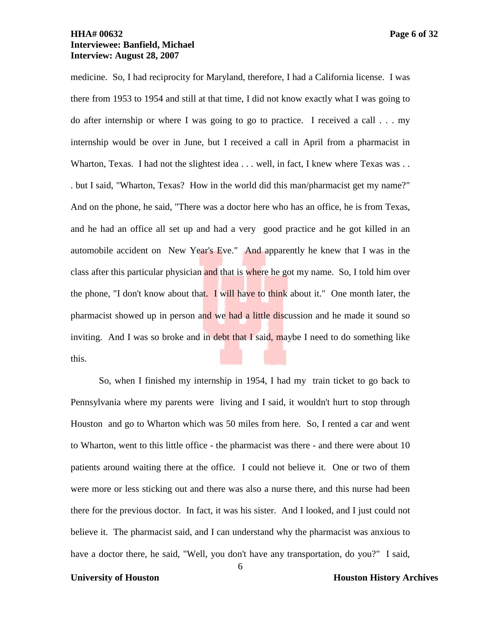# **HHA# 00632 Page 6 of 32 Interviewee: Banfield, Michael Interview: August 28, 2007**

medicine. So, I had reciprocity for Maryland, therefore, I had a California license. I was there from 1953 to 1954 and still at that time, I did not know exactly what I was going to do after internship or where I was going to go to practice. I received a call . . . my internship would be over in June, but I received a call in April from a pharmacist in Wharton, Texas. I had not the slightest idea . . . well, in fact, I knew where Texas was . . . but I said, "Wharton, Texas? How in the world did this man/pharmacist get my name?" And on the phone, he said, "There was a doctor here who has an office, he is from Texas, and he had an office all set up and had a very good practice and he got killed in an automobile accident on New Year's Eve." And apparently he knew that I was in the class after this particular physician and that is where he got my name. So, I told him over the phone, "I don't know about that. I will have to think about it." One month later, the pharmacist showed up in person and we had a little discussion and he made it sound so inviting. And I was so broke and in debt that I said, maybe I need to do something like this.

So, when I finished my internship in 1954, I had my train ticket to go back to Pennsylvania where my parents were living and I said, it wouldn't hurt to stop through Houston and go to Wharton which was 50 miles from here. So, I rented a car and went to Wharton, went to this little office - the pharmacist was there - and there were about 10 patients around waiting there at the office. I could not believe it. One or two of them were more or less sticking out and there was also a nurse there, and this nurse had been there for the previous doctor. In fact, it was his sister. And I looked, and I just could not believe it. The pharmacist said, and I can understand why the pharmacist was anxious to have a doctor there, he said, "Well, you don't have any transportation, do you?" I said,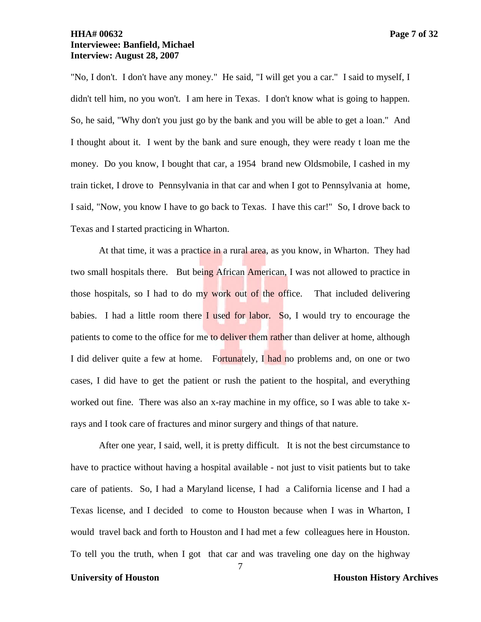# **HHA# 00632 Page 7 of 32 Interviewee: Banfield, Michael Interview: August 28, 2007**

"No, I don't. I don't have any money." He said, "I will get you a car." I said to myself, I didn't tell him, no you won't. I am here in Texas. I don't know what is going to happen. So, he said, "Why don't you just go by the bank and you will be able to get a loan." And I thought about it. I went by the bank and sure enough, they were ready t loan me the money. Do you know, I bought that car, a 1954 brand new Oldsmobile, I cashed in my train ticket, I drove to Pennsylvania in that car and when I got to Pennsylvania at home, I said, "Now, you know I have to go back to Texas. I have this car!" So, I drove back to Texas and I started practicing in Wharton.

At that time, it was a practice in a rural area, as you know, in Wharton. They had two small hospitals there. But being African American, I was not allowed to practice in those hospitals, so I had to do my work out of the office. That included delivering babies. I had a little room there I used for labor. So, I would try to encourage the patients to come to the office for me to deliver them rather than deliver at home, although I did deliver quite a few at home. Fortunately, I had no problems and, on one or two cases, I did have to get the patient or rush the patient to the hospital, and everything worked out fine. There was also an x-ray machine in my office, so I was able to take xrays and I took care of fractures and minor surgery and things of that nature.

After one year, I said, well, it is pretty difficult. It is not the best circumstance to have to practice without having a hospital available - not just to visit patients but to take care of patients. So, I had a Maryland license, I had a California license and I had a Texas license, and I decided to come to Houston because when I was in Wharton, I would travel back and forth to Houston and I had met a few colleagues here in Houston. To tell you the truth, when I got that car and was traveling one day on the highway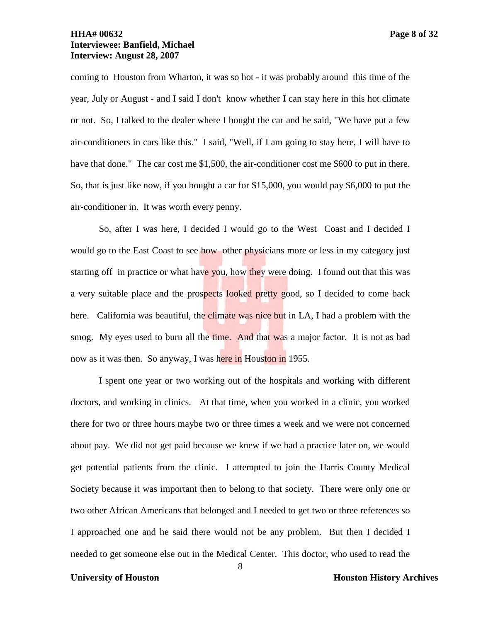## **HHA# 00632 Page 8 of 32 Interviewee: Banfield, Michael Interview: August 28, 2007**

coming to Houston from Wharton, it was so hot - it was probably around this time of the year, July or August - and I said I don't know whether I can stay here in this hot climate or not. So, I talked to the dealer where I bought the car and he said, "We have put a few air-conditioners in cars like this." I said, "Well, if I am going to stay here, I will have to have that done." The car cost me \$1,500, the air-conditioner cost me \$600 to put in there. So, that is just like now, if you bought a car for \$15,000, you would pay \$6,000 to put the air-conditioner in. It was worth every penny.

So, after I was here, I decided I would go to the West Coast and I decided I would go to the East Coast to see how other physicians more or less in my category just starting off in practice or what have you, how they were doing. I found out that this was a very suitable place and the prospects looked pretty good, so I decided to come back here. California was beautiful, the climate was nice but in LA, I had a problem with the smog. My eyes used to burn all the time. And that was a major factor. It is not as bad now as it was then. So anyway, I was here in Houston in 1955.

I spent one year or two working out of the hospitals and working with different doctors, and working in clinics. At that time, when you worked in a clinic, you worked there for two or three hours maybe two or three times a week and we were not concerned about pay. We did not get paid because we knew if we had a practice later on, we would get potential patients from the clinic. I attempted to join the Harris County Medical Society because it was important then to belong to that society. There were only one or two other African Americans that belonged and I needed to get two or three references so I approached one and he said there would not be any problem. But then I decided I needed to get someone else out in the Medical Center. This doctor, who used to read the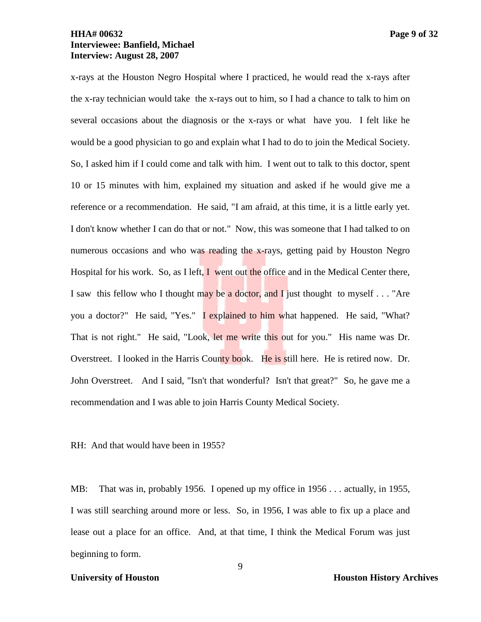# **HHA# 00632 Page 9 of 32 Interviewee: Banfield, Michael Interview: August 28, 2007**

x-rays at the Houston Negro Hospital where I practiced, he would read the x-rays after the x-ray technician would take the x-rays out to him, so I had a chance to talk to him on several occasions about the diagnosis or the x-rays or what have you. I felt like he would be a good physician to go and explain what I had to do to join the Medical Society. So, I asked him if I could come and talk with him. I went out to talk to this doctor, spent 10 or 15 minutes with him, explained my situation and asked if he would give me a reference or a recommendation. He said, "I am afraid, at this time, it is a little early yet. I don't know whether I can do that or not." Now, this was someone that I had talked to on numerous occasions and who was reading the x-rays, getting paid by Houston Negro Hospital for his work. So, as I left,  $I$  went out the office and in the Medical Center there, I saw this fellow who I thought may be a doctor, and I just thought to myself  $\dots$  "Are you a doctor?" He said, "Yes." I explained to him what happened. He said, "What? That is not right." He said, "Look, let me write this out for you." His name was Dr. Overstreet. I looked in the Harris County book. He is still here. He is retired now. Dr. John Overstreet. And I said, "Isn't that wonderful? Isn't that great?" So, he gave me a recommendation and I was able to join Harris County Medical Society.

RH: And that would have been in 1955?

MB: That was in, probably 1956. I opened up my office in 1956 . . . actually, in 1955, I was still searching around more or less. So, in 1956, I was able to fix up a place and lease out a place for an office. And, at that time, I think the Medical Forum was just beginning to form.

**University of Houston Houston History Archives**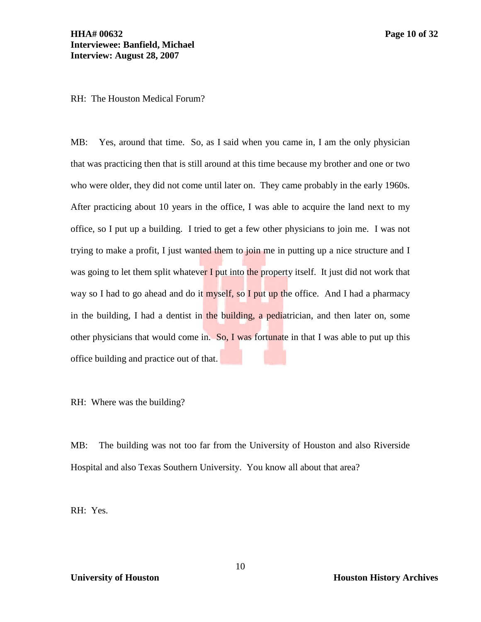RH: The Houston Medical Forum?

MB: Yes, around that time. So, as I said when you came in, I am the only physician that was practicing then that is still around at this time because my brother and one or two who were older, they did not come until later on. They came probably in the early 1960s. After practicing about 10 years in the office, I was able to acquire the land next to my office, so I put up a building. I tried to get a few other physicians to join me. I was not trying to make a profit, I just wanted them to join me in putting up a nice structure and I was going to let them split whatever I put into the property itself. It just did not work that way so I had to go ahead and do it myself, so I put up the office. And I had a pharmacy in the building, I had a dentist in the building, a pediatrician, and then later on, some other physicians that would come in. So, I was fortunate in that I was able to put up this office building and practice out of that.

RH: Where was the building?

MB: The building was not too far from the University of Houston and also Riverside Hospital and also Texas Southern University. You know all about that area?

RH: Yes.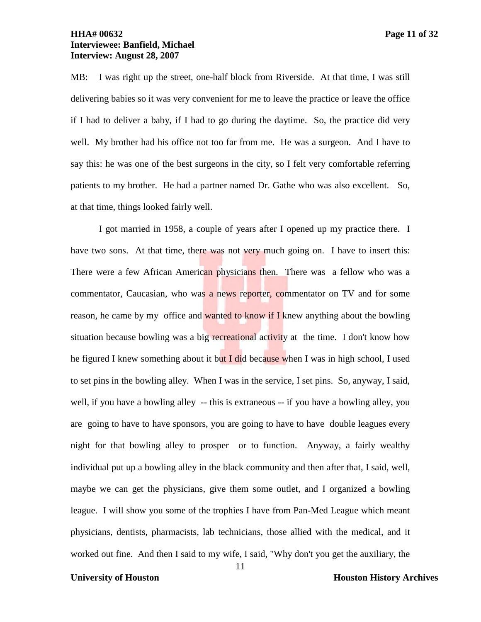## **HHA# 00632 Page 11 of 32 Interviewee: Banfield, Michael Interview: August 28, 2007**

MB: I was right up the street, one-half block from Riverside. At that time, I was still delivering babies so it was very convenient for me to leave the practice or leave the office if I had to deliver a baby, if I had to go during the daytime. So, the practice did very well. My brother had his office not too far from me. He was a surgeon. And I have to say this: he was one of the best surgeons in the city, so I felt very comfortable referring patients to my brother. He had a partner named Dr. Gathe who was also excellent. So, at that time, things looked fairly well.

I got married in 1958, a couple of years after I opened up my practice there. I have two sons. At that time, there was not very much going on. I have to insert this: There were a few African American physicians then. There was a fellow who was a commentator, Caucasian, who was a news reporter, commentator on TV and for some reason, he came by my office and wanted to know if I knew anything about the bowling situation because bowling was a big recreational activity at the time. I don't know how he figured I knew something about it but I did because when I was in high school, I used to set pins in the bowling alley. When I was in the service, I set pins. So, anyway, I said, well, if you have a bowling alley -- this is extraneous -- if you have a bowling alley, you are going to have to have sponsors, you are going to have to have double leagues every night for that bowling alley to prosper or to function. Anyway, a fairly wealthy individual put up a bowling alley in the black community and then after that, I said, well, maybe we can get the physicians, give them some outlet, and I organized a bowling league. I will show you some of the trophies I have from Pan-Med League which meant physicians, dentists, pharmacists, lab technicians, those allied with the medical, and it worked out fine. And then I said to my wife, I said, "Why don't you get the auxiliary, the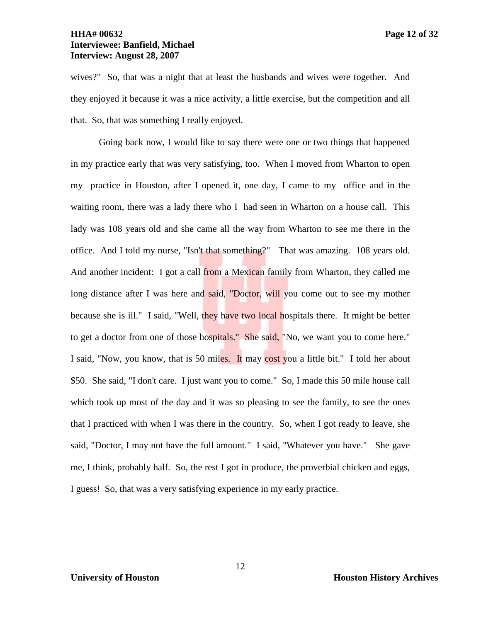## **HHA# 00632 Page 12 of 32 Interviewee: Banfield, Michael Interview: August 28, 2007**

wives?" So, that was a night that at least the husbands and wives were together. And they enjoyed it because it was a nice activity, a little exercise, but the competition and all that. So, that was something I really enjoyed.

Going back now, I would like to say there were one or two things that happened in my practice early that was very satisfying, too. When I moved from Wharton to open my practice in Houston, after I opened it, one day, I came to my office and in the waiting room, there was a lady there who I had seen in Wharton on a house call. This lady was 108 years old and she came all the way from Wharton to see me there in the office. And I told my nurse, "Isn't that something?" That was amazing. 108 years old. And another incident: I got a call from a Mexican family from Wharton, they called me long distance after I was here and said, "Doctor, will you come out to see my mother because she is ill." I said, "Well, they have two local hospitals there. It might be better to get a doctor from one of those hospitals." She said, "No, we want you to come here." I said, "Now, you know, that is 50 miles. It may cost you a little bit." I told her about \$50. She said, "I don't care. I just want you to come." So, I made this 50 mile house call which took up most of the day and it was so pleasing to see the family, to see the ones that I practiced with when I was there in the country. So, when I got ready to leave, she said, "Doctor, I may not have the full amount." I said, "Whatever you have." She gave me, I think, probably half. So, the rest I got in produce, the proverbial chicken and eggs, I guess! So, that was a very satisfying experience in my early practice.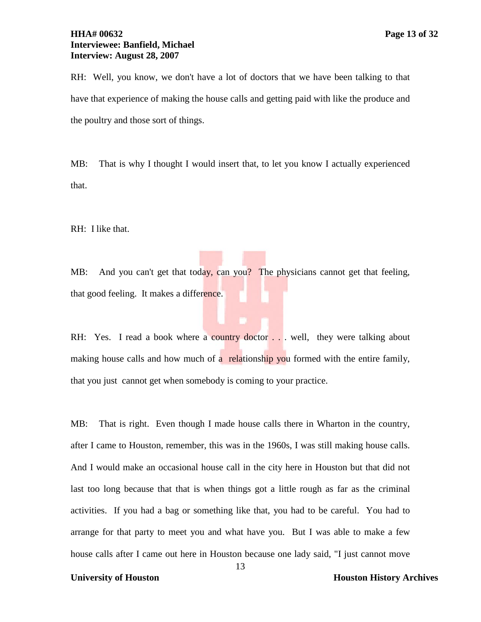RH: Well, you know, we don't have a lot of doctors that we have been talking to that have that experience of making the house calls and getting paid with like the produce and the poultry and those sort of things.

MB: That is why I thought I would insert that, to let you know I actually experienced that.

RH: I like that.

MB: And you can't get that today, can you? The physicians cannot get that feeling, that good feeling. It makes a difference.

RH: Yes. I read a book where a country doctor . . . well, they were talking about making house calls and how much of a relationship you formed with the entire family, that you just cannot get when somebody is coming to your practice.

MB: That is right. Even though I made house calls there in Wharton in the country, after I came to Houston, remember, this was in the 1960s, I was still making house calls. And I would make an occasional house call in the city here in Houston but that did not last too long because that that is when things got a little rough as far as the criminal activities. If you had a bag or something like that, you had to be careful. You had to arrange for that party to meet you and what have you. But I was able to make a few house calls after I came out here in Houston because one lady said, "I just cannot move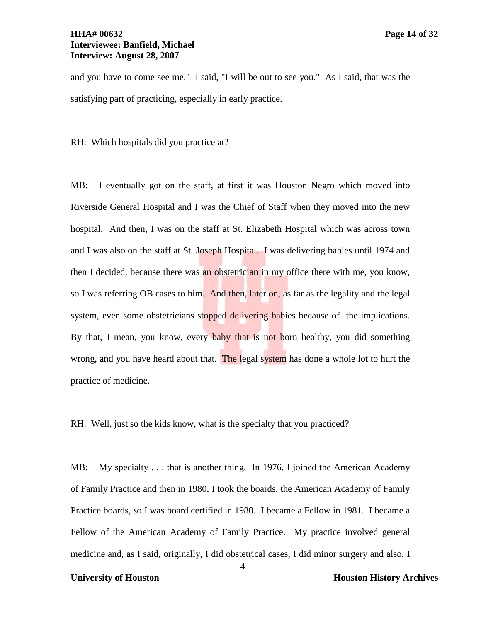RH: Which hospitals did you practice at?

satisfying part of practicing, especially in early practice.

MB: I eventually got on the staff, at first it was Houston Negro which moved into Riverside General Hospital and I was the Chief of Staff when they moved into the new hospital. And then, I was on the staff at St. Elizabeth Hospital which was across town and I was also on the staff at St. Joseph Hospital. I was delivering babies until 1974 and then I decided, because there was an obstetrician in my office there with me, you know, so I was referring OB cases to him. And then, later on, as far as the legality and the legal system, even some obstetricians stopped delivering babies because of the implications. By that, I mean, you know, every baby that is not born healthy, you did something wrong, and you have heard about that. The legal system has done a whole lot to hurt the practice of medicine.

RH: Well, just so the kids know, what is the specialty that you practiced?

MB: My specialty . . . that is another thing. In 1976, I joined the American Academy of Family Practice and then in 1980, I took the boards, the American Academy of Family Practice boards, so I was board certified in 1980. I became a Fellow in 1981. I became a Fellow of the American Academy of Family Practice. My practice involved general medicine and, as I said, originally, I did obstetrical cases, I did minor surgery and also, I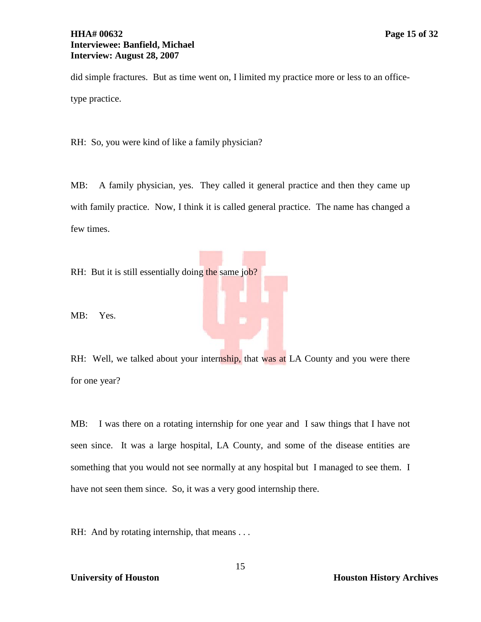## **HHA# 00632 Page 15 of 32 Interviewee: Banfield, Michael Interview: August 28, 2007**

did simple fractures. But as time went on, I limited my practice more or less to an officetype practice.

RH: So, you were kind of like a family physician?

MB: A family physician, yes. They called it general practice and then they came up with family practice. Now, I think it is called general practice. The name has changed a few times.

RH: But it is still essentially doing the same job?

MB: Yes.

RH: Well, we talked about your internship, that was at LA County and you were there for one year?

MB: I was there on a rotating internship for one year and I saw things that I have not seen since. It was a large hospital, LA County, and some of the disease entities are something that you would not see normally at any hospital but I managed to see them. I have not seen them since. So, it was a very good internship there.

RH: And by rotating internship, that means . . .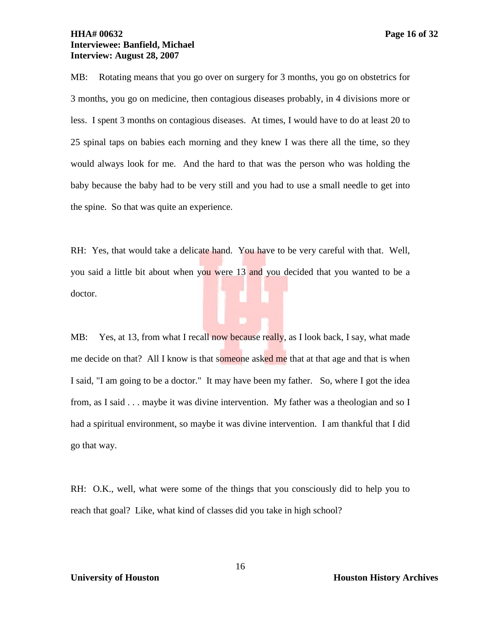### **HHA# 00632 Page 16 of 32 Interviewee: Banfield, Michael Interview: August 28, 2007**

MB: Rotating means that you go over on surgery for 3 months, you go on obstetrics for 3 months, you go on medicine, then contagious diseases probably, in 4 divisions more or less. I spent 3 months on contagious diseases. At times, I would have to do at least 20 to 25 spinal taps on babies each morning and they knew I was there all the time, so they would always look for me. And the hard to that was the person who was holding the baby because the baby had to be very still and you had to use a small needle to get into the spine. So that was quite an experience.

RH: Yes, that would take a delicate hand. You have to be very careful with that. Well, you said a little bit about when you were 13 and you decided that you wanted to be a doctor.

MB: Yes, at 13, from what I recall now because really, as I look back, I say, what made me decide on that? All I know is that someone asked me that at that age and that is when I said, "I am going to be a doctor." It may have been my father. So, where I got the idea from, as I said . . . maybe it was divine intervention. My father was a theologian and so I had a spiritual environment, so maybe it was divine intervention. I am thankful that I did go that way.

RH: O.K., well, what were some of the things that you consciously did to help you to reach that goal? Like, what kind of classes did you take in high school?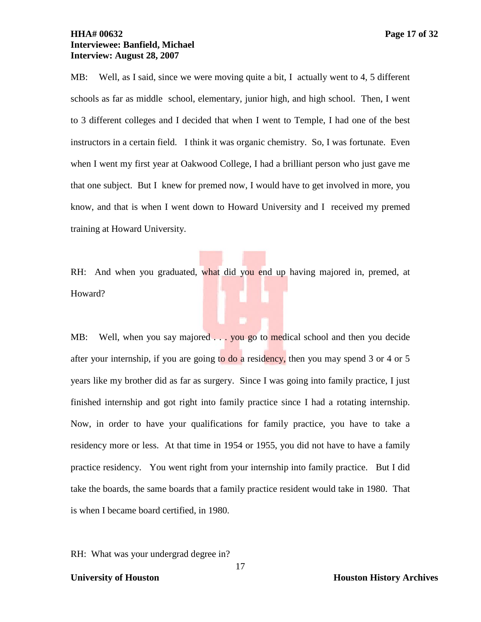## **HHA# 00632 Page 17 of 32 Interviewee: Banfield, Michael Interview: August 28, 2007**

MB: Well, as I said, since we were moving quite a bit, I actually went to 4, 5 different schools as far as middle school, elementary, junior high, and high school. Then, I went to 3 different colleges and I decided that when I went to Temple, I had one of the best instructors in a certain field. I think it was organic chemistry. So, I was fortunate. Even when I went my first year at Oakwood College, I had a brilliant person who just gave me that one subject. But I knew for premed now, I would have to get involved in more, you know, and that is when I went down to Howard University and I received my premed training at Howard University.

RH: And when you graduated, what did you end up having majored in, premed, at Howard?

MB: Well, when you say majored . . . you go to medical school and then you decide after your internship, if you are going to do a residency, then you may spend 3 or 4 or 5 years like my brother did as far as surgery. Since I was going into family practice, I just finished internship and got right into family practice since I had a rotating internship. Now, in order to have your qualifications for family practice, you have to take a residency more or less. At that time in 1954 or 1955, you did not have to have a family practice residency. You went right from your internship into family practice. But I did take the boards, the same boards that a family practice resident would take in 1980. That is when I became board certified, in 1980.

17

RH: What was your undergrad degree in?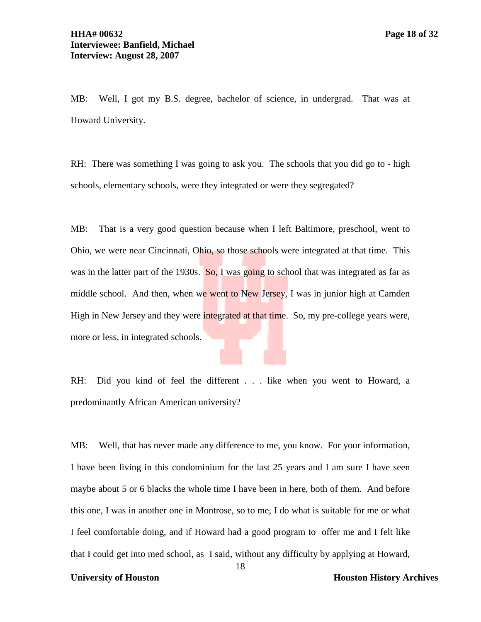MB: Well, I got my B.S. degree, bachelor of science, in undergrad. That was at Howard University.

RH: There was something I was going to ask you. The schools that you did go to - high schools, elementary schools, were they integrated or were they segregated?

MB: That is a very good question because when I left Baltimore, preschool, went to Ohio, we were near Cincinnati, Ohio, so those schools were integrated at that time. This was in the latter part of the 1930s.  $\overline{So}$ , I was going to school that was integrated as far as middle school. And then, when we went to New Jersey, I was in junior high at Camden High in New Jersey and they were integrated at that time. So, my pre-college years were, more or less, in integrated schools.

RH: Did you kind of feel the different . . . like when you went to Howard, a predominantly African American university?

MB: Well, that has never made any difference to me, you know. For your information, I have been living in this condominium for the last 25 years and I am sure I have seen maybe about 5 or 6 blacks the whole time I have been in here, both of them. And before this one, I was in another one in Montrose, so to me, I do what is suitable for me or what I feel comfortable doing, and if Howard had a good program to offer me and I felt like that I could get into med school, as I said, without any difficulty by applying at Howard,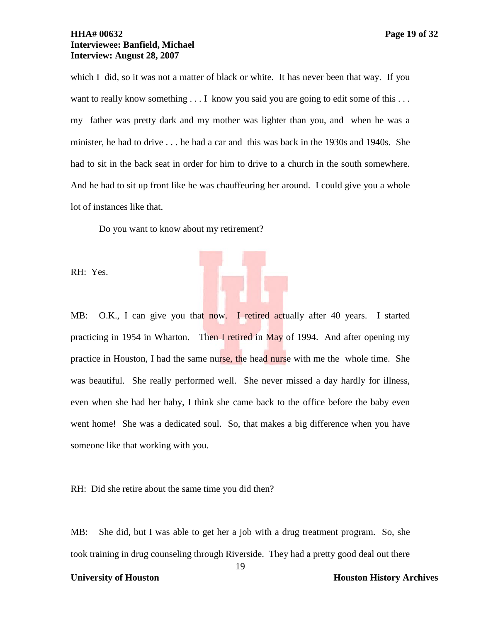## **HHA# 00632 Page 19 of 32 Interviewee: Banfield, Michael Interview: August 28, 2007**

which I did, so it was not a matter of black or white. It has never been that way. If you want to really know something . . . I know you said you are going to edit some of this . . . my father was pretty dark and my mother was lighter than you, and when he was a minister, he had to drive . . . he had a car and this was back in the 1930s and 1940s. She had to sit in the back seat in order for him to drive to a church in the south somewhere. And he had to sit up front like he was chauffeuring her around. I could give you a whole lot of instances like that.

Do you want to know about my retirement?

RH: Yes.

MB: O.K., I can give you that now. I retired actually after 40 years. I started practicing in 1954 in Wharton. Then I retired in May of 1994. And after opening my practice in Houston, I had the same nurse, the head nurse with me the whole time. She was beautiful. She really performed well. She never missed a day hardly for illness, even when she had her baby, I think she came back to the office before the baby even went home! She was a dedicated soul. So, that makes a big difference when you have someone like that working with you.

RH: Did she retire about the same time you did then?

MB: She did, but I was able to get her a job with a drug treatment program. So, she took training in drug counseling through Riverside. They had a pretty good deal out there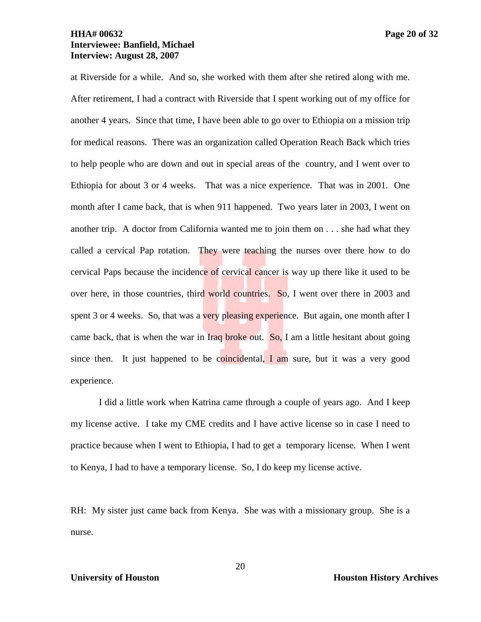## **HHA# 00632 Page 20 of 32 Interviewee: Banfield, Michael Interview: August 28, 2007**

at Riverside for a while. And so, she worked with them after she retired along with me. After retirement, I had a contract with Riverside that I spent working out of my office for another 4 years. Since that time, I have been able to go over to Ethiopia on a mission trip for medical reasons. There was an organization called Operation Reach Back which tries to help people who are down and out in special areas of the country, and I went over to Ethiopia for about 3 or 4 weeks. That was a nice experience. That was in 2001. One month after I came back, that is when 911 happened. Two years later in 2003, I went on another trip. A doctor from California wanted me to join them on . . . she had what they called a cervical Pap rotation. They were teaching the nurses over there how to do cervical Paps because the incidence of cervical cancer is way up there like it used to be over here, in those countries, third world countries. So, I went over there in 2003 and spent 3 or 4 weeks. So, that was a very pleasing experience. But again, one month after I came back, that is when the war in Iraq broke out. So, I am a little hesitant about going since then. It just happened to be coincidental, I am sure, but it was a very good experience.

I did a little work when Katrina came through a couple of years ago. And I keep my license active. I take my CME credits and I have active license so in case I need to practice because when I went to Ethiopia, I had to get a temporary license. When I went to Kenya, I had to have a temporary license. So, I do keep my license active.

RH: My sister just came back from Kenya. She was with a missionary group. She is a nurse.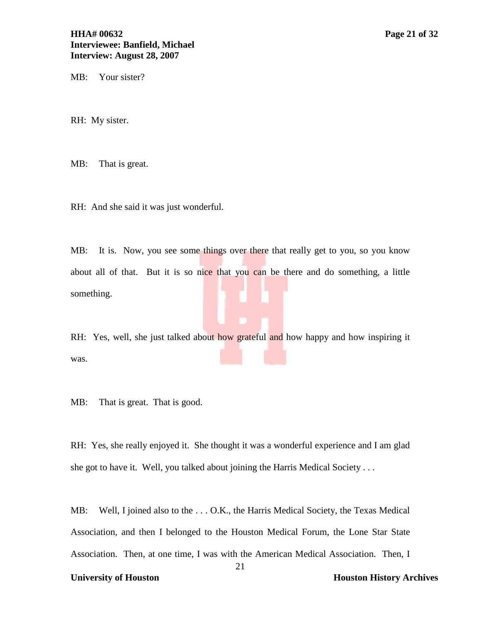MB: Your sister?

RH: My sister.

MB: That is great.

RH: And she said it was just wonderful.

MB: It is. Now, you see some things over there that really get to you, so you know about all of that. But it is so nice that you can be there and do something, a little something.

RH: Yes, well, she just talked about how grateful and how happy and how inspiring it was.

MB: That is great. That is good.

RH: Yes, she really enjoyed it. She thought it was a wonderful experience and I am glad she got to have it. Well, you talked about joining the Harris Medical Society . . .

MB: Well, I joined also to the ... O.K., the Harris Medical Society, the Texas Medical Association, and then I belonged to the Houston Medical Forum, the Lone Star State Association. Then, at one time, I was with the American Medical Association. Then, I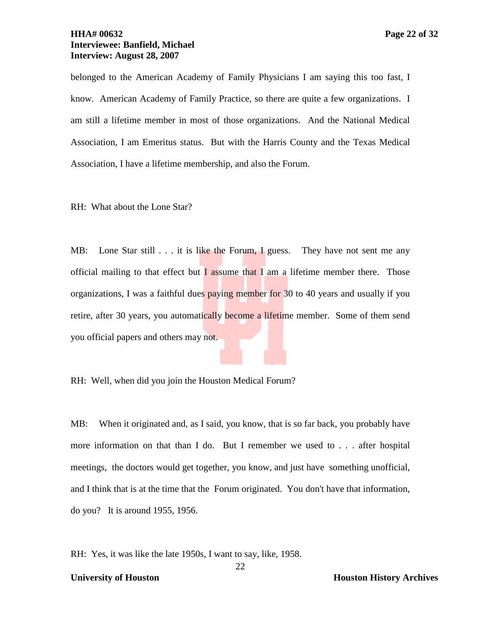## **HHA# 00632 Page 22 of 32 Interviewee: Banfield, Michael Interview: August 28, 2007**

belonged to the American Academy of Family Physicians I am saying this too fast, I know. American Academy of Family Practice, so there are quite a few organizations. I am still a lifetime member in most of those organizations. And the National Medical Association, I am Emeritus status. But with the Harris County and the Texas Medical Association, I have a lifetime membership, and also the Forum.

RH: What about the Lone Star?

MB: Lone Star still . . . it is like the Forum, I guess. They have not sent me any official mailing to that effect but  $\overline{I}$  assume that  $\overline{I}$  am a lifetime member there. Those organizations, I was a faithful dues paying member for 30 to 40 years and usually if you retire, after 30 years, you automatically become a lifetime member. Some of them send you official papers and others may not.

RH: Well, when did you join the Houston Medical Forum?

MB: When it originated and, as I said, you know, that is so far back, you probably have more information on that than I do. But I remember we used to . . . after hospital meetings, the doctors would get together, you know, and just have something unofficial, and I think that is at the time that the Forum originated. You don't have that information, do you? It is around 1955, 1956.

RH: Yes, it was like the late 1950s, I want to say, like, 1958.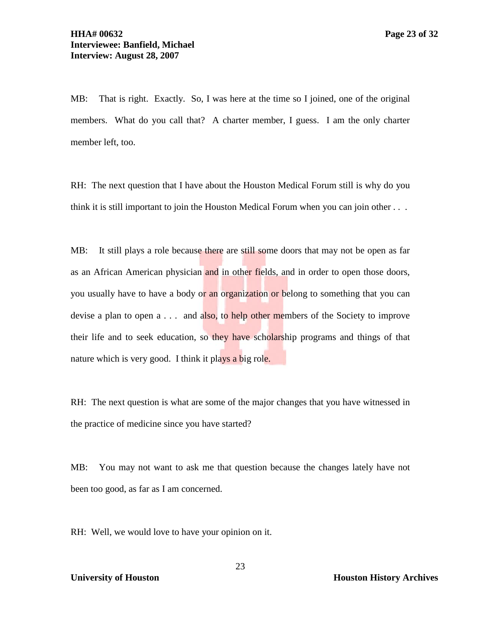MB: That is right. Exactly. So, I was here at the time so I joined, one of the original members. What do you call that? A charter member, I guess. I am the only charter member left, too.

RH: The next question that I have about the Houston Medical Forum still is why do you think it is still important to join the Houston Medical Forum when you can join other . . .

MB: It still plays a role because there are still some doors that may not be open as far as an African American physician and in other fields, and in order to open those doors, you usually have to have a body or an organization or belong to something that you can devise a plan to open  $a \dots$  and also, to help other members of the Society to improve their life and to seek education, so they have scholarship programs and things of that nature which is very good. I think it plays a big role.

RH: The next question is what are some of the major changes that you have witnessed in the practice of medicine since you have started?

MB: You may not want to ask me that question because the changes lately have not been too good, as far as I am concerned.

RH: Well, we would love to have your opinion on it.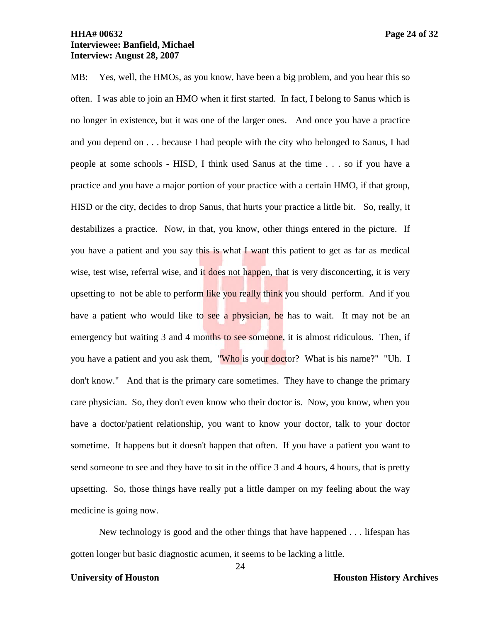MB: Yes, well, the HMOs, as you know, have been a big problem, and you hear this so often. I was able to join an HMO when it first started. In fact, I belong to Sanus which is no longer in existence, but it was one of the larger ones. And once you have a practice and you depend on . . . because I had people with the city who belonged to Sanus, I had people at some schools - HISD, I think used Sanus at the time . . . so if you have a practice and you have a major portion of your practice with a certain HMO, if that group, HISD or the city, decides to drop Sanus, that hurts your practice a little bit. So, really, it destabilizes a practice. Now, in that, you know, other things entered in the picture. If you have a patient and you say this is what I want this patient to get as far as medical wise, test wise, referral wise, and it does not happen, that is very disconcerting, it is very upsetting to not be able to perform like you really think you should perform. And if you have a patient who would like to see a physician, he has to wait. It may not be an emergency but waiting 3 and 4 months to see someone, it is almost ridiculous. Then, if you have a patient and you ask them, "Who is your doctor? What is his name?" "Uh. I don't know." And that is the primary care sometimes. They have to change the primary care physician. So, they don't even know who their doctor is. Now, you know, when you have a doctor/patient relationship, you want to know your doctor, talk to your doctor sometime. It happens but it doesn't happen that often. If you have a patient you want to send someone to see and they have to sit in the office 3 and 4 hours, 4 hours, that is pretty upsetting. So, those things have really put a little damper on my feeling about the way medicine is going now.

New technology is good and the other things that have happened . . . lifespan has gotten longer but basic diagnostic acumen, it seems to be lacking a little.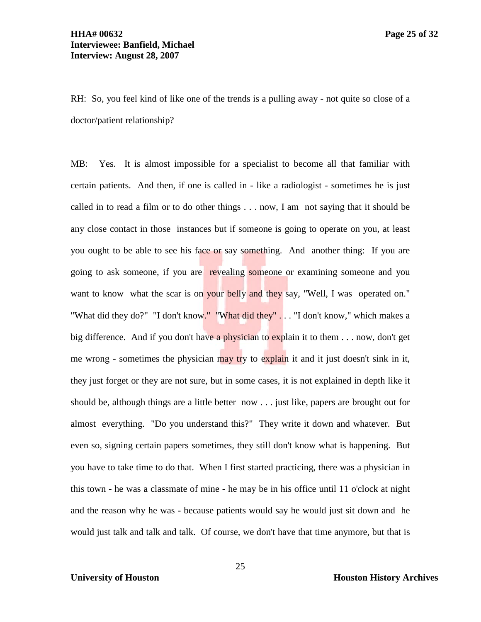RH: So, you feel kind of like one of the trends is a pulling away - not quite so close of a doctor/patient relationship?

MB: Yes. It is almost impossible for a specialist to become all that familiar with certain patients. And then, if one is called in - like a radiologist - sometimes he is just called in to read a film or to do other things . . . now, I am not saying that it should be any close contact in those instances but if someone is going to operate on you, at least you ought to be able to see his face or say something. And another thing: If you are going to ask someone, if you are revealing someone or examining someone and you want to know what the scar is on your belly and they say, "Well, I was operated on." "What did they do?" "I don't know." "What did they" . . . "I don't know," which makes a big difference. And if you don't have a physician to explain it to them . . . now, don't get me wrong - sometimes the physician may try to explain it and it just doesn't sink in it, they just forget or they are not sure, but in some cases, it is not explained in depth like it should be, although things are a little better now . . . just like, papers are brought out for almost everything. "Do you understand this?" They write it down and whatever. But even so, signing certain papers sometimes, they still don't know what is happening. But you have to take time to do that. When I first started practicing, there was a physician in this town - he was a classmate of mine - he may be in his office until 11 o'clock at night and the reason why he was - because patients would say he would just sit down and he would just talk and talk and talk. Of course, we don't have that time anymore, but that is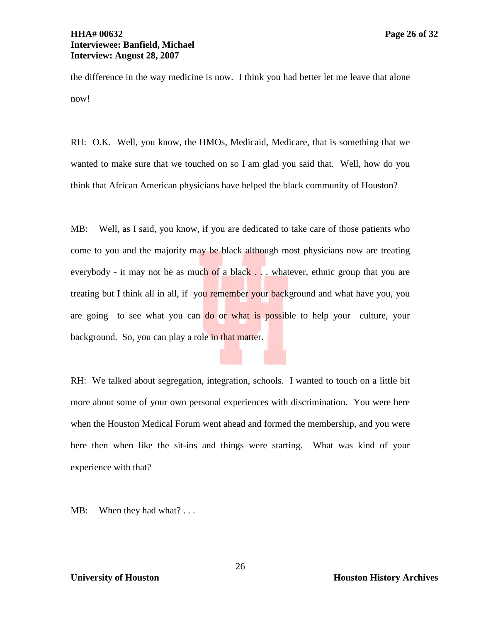# **HHA# 00632 Page 26 of 32 Interviewee: Banfield, Michael Interview: August 28, 2007**

the difference in the way medicine is now. I think you had better let me leave that alone now!

RH: O.K. Well, you know, the HMOs, Medicaid, Medicare, that is something that we wanted to make sure that we touched on so I am glad you said that. Well, how do you think that African American physicians have helped the black community of Houston?

MB: Well, as I said, you know, if you are dedicated to take care of those patients who come to you and the majority may be black although most physicians now are treating everybody - it may not be as much of a black . . . whatever, ethnic group that you are treating but I think all in all, if you remember your background and what have you, you are going to see what you can do or what is possible to help your culture, your background. So, you can play a role in that matter.

RH: We talked about segregation, integration, schools. I wanted to touch on a little bit more about some of your own personal experiences with discrimination. You were here when the Houston Medical Forum went ahead and formed the membership, and you were here then when like the sit-ins and things were starting. What was kind of your experience with that?

MB: When they had what? ...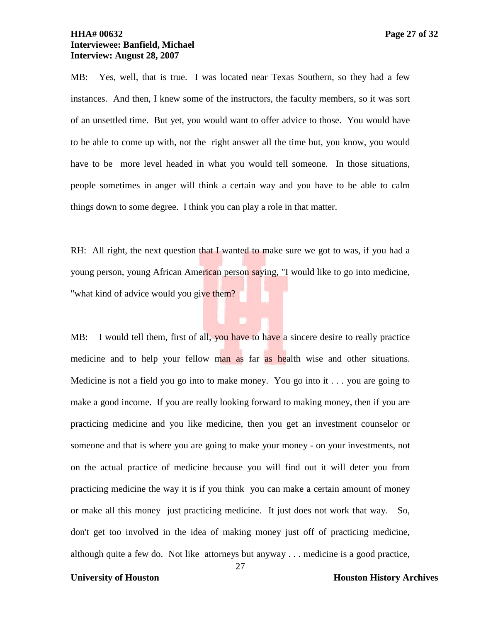# **HHA# 00632 Page 27 of 32 Interviewee: Banfield, Michael Interview: August 28, 2007**

MB: Yes, well, that is true. I was located near Texas Southern, so they had a few instances. And then, I knew some of the instructors, the faculty members, so it was sort of an unsettled time. But yet, you would want to offer advice to those. You would have to be able to come up with, not the right answer all the time but, you know, you would have to be more level headed in what you would tell someone. In those situations, people sometimes in anger will think a certain way and you have to be able to calm things down to some degree. I think you can play a role in that matter.

RH: All right, the next question that I wanted to make sure we got to was, if you had a young person, young African American person saying, "I would like to go into medicine, "what kind of advice would you give them?

MB: I would tell them, first of all, you have to have a sincere desire to really practice medicine and to help your fellow man as far as health wise and other situations. Medicine is not a field you go into to make money. You go into it . . . you are going to make a good income. If you are really looking forward to making money, then if you are practicing medicine and you like medicine, then you get an investment counselor or someone and that is where you are going to make your money - on your investments, not on the actual practice of medicine because you will find out it will deter you from practicing medicine the way it is if you think you can make a certain amount of money or make all this money just practicing medicine. It just does not work that way. So, don't get too involved in the idea of making money just off of practicing medicine, although quite a few do. Not like attorneys but anyway . . . medicine is a good practice,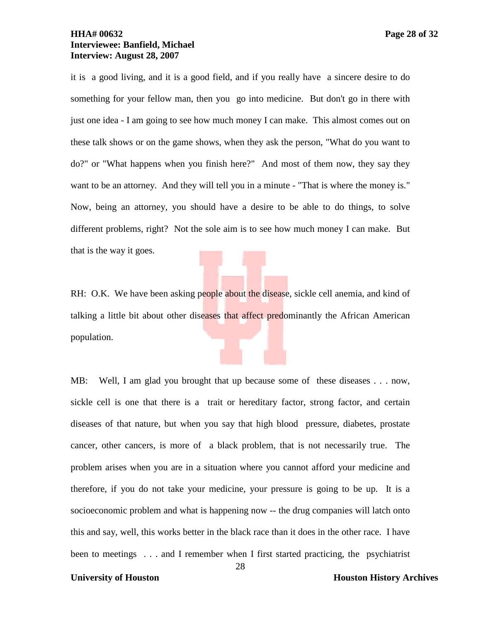# **HHA# 00632 Page 28 of 32 Interviewee: Banfield, Michael Interview: August 28, 2007**

it is a good living, and it is a good field, and if you really have a sincere desire to do something for your fellow man, then you go into medicine. But don't go in there with just one idea - I am going to see how much money I can make. This almost comes out on these talk shows or on the game shows, when they ask the person, "What do you want to do?" or "What happens when you finish here?" And most of them now, they say they want to be an attorney. And they will tell you in a minute - "That is where the money is." Now, being an attorney, you should have a desire to be able to do things, to solve different problems, right? Not the sole aim is to see how much money I can make. But that is the way it goes.

RH: O.K. We have been asking people about the disease, sickle cell anemia, and kind of talking a little bit about other diseases that affect predominantly the African American population.

MB: Well, I am glad you brought that up because some of these diseases . . . now, sickle cell is one that there is a trait or hereditary factor, strong factor, and certain diseases of that nature, but when you say that high blood pressure, diabetes, prostate cancer, other cancers, is more of a black problem, that is not necessarily true. The problem arises when you are in a situation where you cannot afford your medicine and therefore, if you do not take your medicine, your pressure is going to be up. It is a socioeconomic problem and what is happening now -- the drug companies will latch onto this and say, well, this works better in the black race than it does in the other race. I have been to meetings . . . and I remember when I first started practicing, the psychiatrist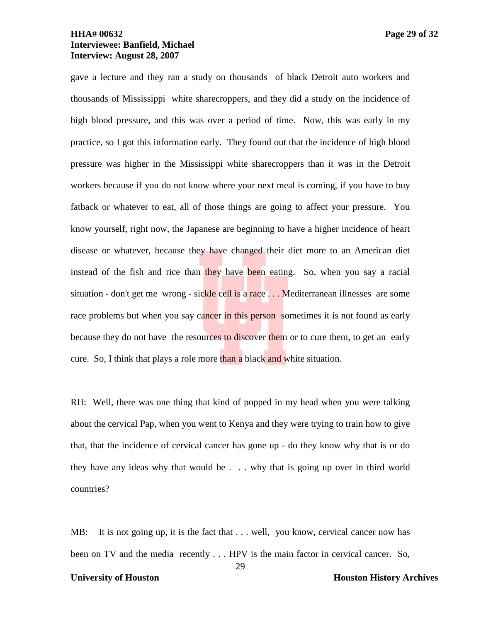## **HHA# 00632 Page 29 of 32 Interviewee: Banfield, Michael Interview: August 28, 2007**

gave a lecture and they ran a study on thousands of black Detroit auto workers and thousands of Mississippi white sharecroppers, and they did a study on the incidence of high blood pressure, and this was over a period of time. Now, this was early in my practice, so I got this information early. They found out that the incidence of high blood pressure was higher in the Mississippi white sharecroppers than it was in the Detroit workers because if you do not know where your next meal is coming, if you have to buy fatback or whatever to eat, all of those things are going to affect your pressure. You know yourself, right now, the Japanese are beginning to have a higher incidence of heart disease or whatever, because they have changed their diet more to an American diet instead of the fish and rice than they have been eating. So, when you say a racial situation - don't get me wrong - sickle cell is a race . . . Mediterranean illnesses are some race problems but when you say cancer in this person sometimes it is not found as early because they do not have the resources to discover them or to cure them, to get an early cure. So, I think that plays a role more than a black and white situation.

RH: Well, there was one thing that kind of popped in my head when you were talking about the cervical Pap, when you went to Kenya and they were trying to train how to give that, that the incidence of cervical cancer has gone up - do they know why that is or do they have any ideas why that would be . . . why that is going up over in third world countries?

29 MB: It is not going up, it is the fact that . . . well, you know, cervical cancer now has been on TV and the media recently . . . HPV is the main factor in cervical cancer. So,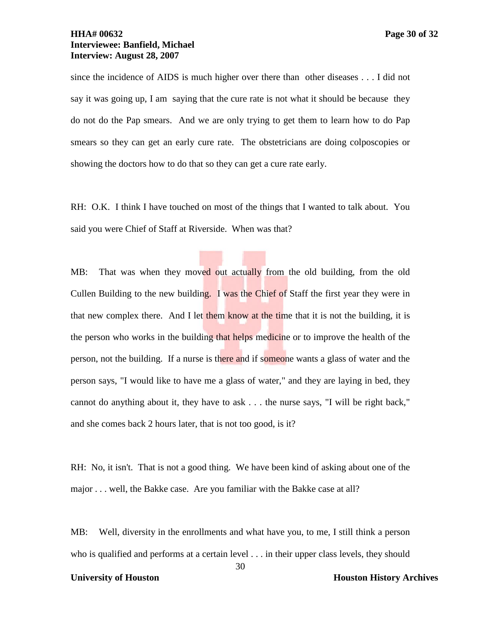since the incidence of AIDS is much higher over there than other diseases . . . I did not say it was going up, I am saying that the cure rate is not what it should be because they do not do the Pap smears. And we are only trying to get them to learn how to do Pap smears so they can get an early cure rate. The obstetricians are doing colposcopies or showing the doctors how to do that so they can get a cure rate early.

RH: O.K. I think I have touched on most of the things that I wanted to talk about. You said you were Chief of Staff at Riverside. When was that?

MB: That was when they moved out actually from the old building, from the old Cullen Building to the new building. I was the Chief of Staff the first year they were in that new complex there. And I let them know at the time that it is not the building, it is the person who works in the building that helps medicine or to improve the health of the person, not the building. If a nurse is there and if someone wants a glass of water and the person says, "I would like to have me a glass of water," and they are laying in bed, they cannot do anything about it, they have to ask . . . the nurse says, "I will be right back," and she comes back 2 hours later, that is not too good, is it?

RH: No, it isn't. That is not a good thing. We have been kind of asking about one of the major . . . well, the Bakke case. Are you familiar with the Bakke case at all?

MB: Well, diversity in the enrollments and what have you, to me, I still think a person who is qualified and performs at a certain level . . . in their upper class levels, they should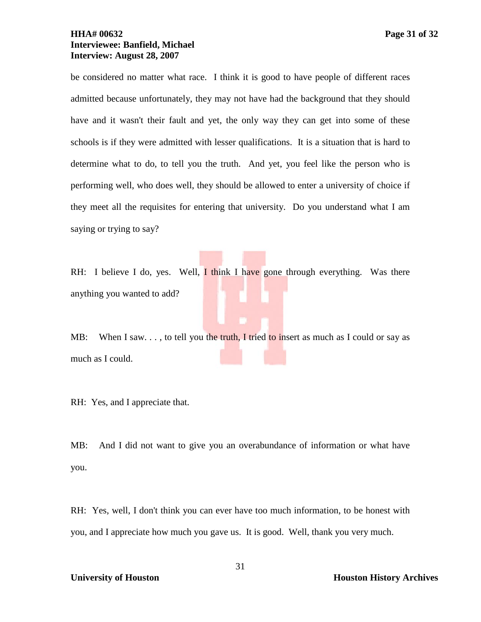## **HHA# 00632 Page 31 of 32 Interviewee: Banfield, Michael Interview: August 28, 2007**

be considered no matter what race. I think it is good to have people of different races admitted because unfortunately, they may not have had the background that they should have and it wasn't their fault and yet, the only way they can get into some of these schools is if they were admitted with lesser qualifications. It is a situation that is hard to determine what to do, to tell you the truth. And yet, you feel like the person who is performing well, who does well, they should be allowed to enter a university of choice if they meet all the requisites for entering that university. Do you understand what I am saying or trying to say?

RH: I believe I do, yes. Well,  $I$  think I have gone through everything. Was there anything you wanted to add?

MB: When I saw.  $\ldots$ , to tell you the truth, I tried to insert as much as I could or say as much as I could.

RH: Yes, and I appreciate that.

MB: And I did not want to give you an overabundance of information or what have you.

RH: Yes, well, I don't think you can ever have too much information, to be honest with you, and I appreciate how much you gave us. It is good. Well, thank you very much.